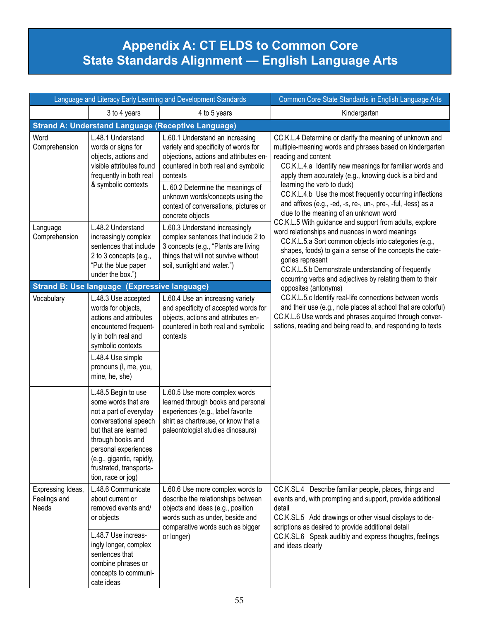## **Appendix A: CT ELDS to Common Core State Standards Alignment — English Language Arts**

| Language and Literacy Early Learning and Development Standards |                                                                                                                                                                                                                                                  |                                                                                                                                                                                                                                                                                                            | Common Core State Standards in English Language Arts                                                                                                                                                                                                                                                                                                                                                                                                                   |  |  |  |
|----------------------------------------------------------------|--------------------------------------------------------------------------------------------------------------------------------------------------------------------------------------------------------------------------------------------------|------------------------------------------------------------------------------------------------------------------------------------------------------------------------------------------------------------------------------------------------------------------------------------------------------------|------------------------------------------------------------------------------------------------------------------------------------------------------------------------------------------------------------------------------------------------------------------------------------------------------------------------------------------------------------------------------------------------------------------------------------------------------------------------|--|--|--|
|                                                                | 3 to 4 years                                                                                                                                                                                                                                     | 4 to 5 years                                                                                                                                                                                                                                                                                               | Kindergarten                                                                                                                                                                                                                                                                                                                                                                                                                                                           |  |  |  |
|                                                                | <b>Strand A: Understand Language (Receptive Language)</b>                                                                                                                                                                                        |                                                                                                                                                                                                                                                                                                            |                                                                                                                                                                                                                                                                                                                                                                                                                                                                        |  |  |  |
| Word<br>Comprehension                                          | L.48.1 Understand<br>words or signs for<br>objects, actions and<br>visible attributes found<br>frequently in both real<br>& symbolic contexts                                                                                                    | L.60.1 Understand an increasing<br>variety and specificity of words for<br>objections, actions and attributes en-<br>countered in both real and symbolic<br>contexts<br>L. 60.2 Determine the meanings of<br>unknown words/concepts using the<br>context of conversations, pictures or<br>concrete objects | CC.K.L.4 Determine or clarify the meaning of unknown and<br>multiple-meaning words and phrases based on kindergarten<br>reading and content<br>CC.K.L.4.a Identify new meanings for familiar words and<br>apply them accurately (e.g., knowing duck is a bird and<br>learning the verb to duck)<br>CC.K.L.4.b Use the most frequently occurring inflections<br>and affixes (e.g., -ed, -s, re-, un-, pre-, -ful, -less) as a<br>clue to the meaning of an unknown word |  |  |  |
| Language<br>Comprehension                                      | L.48.2 Understand<br>increasingly complex<br>sentences that include<br>2 to 3 concepts (e.g.,<br>"Put the blue paper<br>under the box.")                                                                                                         | L.60.3 Understand increasingly<br>complex sentences that include 2 to<br>3 concepts (e.g., "Plants are living<br>things that will not survive without<br>soil, sunlight and water.")                                                                                                                       | CC.K.L.5 With guidance and support from adults, explore<br>word relationships and nuances in word meanings<br>CC.K.L.5.a Sort common objects into categories (e.g.,<br>shapes, foods) to gain a sense of the concepts the cate-<br>gories represent<br>CC.K.L.5.b Demonstrate understanding of frequently<br>occurring verbs and adjectives by relating them to their                                                                                                  |  |  |  |
|                                                                | <b>Strand B: Use language (Expressive language)</b>                                                                                                                                                                                              |                                                                                                                                                                                                                                                                                                            | opposites (antonyms)                                                                                                                                                                                                                                                                                                                                                                                                                                                   |  |  |  |
| Vocabulary                                                     | L.48.3 Use accepted<br>words for objects,<br>actions and attributes<br>encountered frequent-<br>ly in both real and<br>symbolic contexts<br>L.48.4 Use simple<br>pronouns (I, me, you,<br>mine, he, she)                                         | L.60.4 Use an increasing variety<br>and specificity of accepted words for<br>objects, actions and attributes en-<br>countered in both real and symbolic<br>contexts                                                                                                                                        | CC.K.L.5.c Identify real-life connections between words<br>and their use (e.g., note places at school that are colorful)<br>CC.K.L.6 Use words and phrases acquired through conver-<br>sations, reading and being read to, and responding to texts                                                                                                                                                                                                                     |  |  |  |
|                                                                | L.48.5 Begin to use<br>some words that are<br>not a part of everyday<br>conversational speech<br>but that are learned<br>through books and<br>personal experiences<br>(e.g., gigantic, rapidly,<br>frustrated, transporta-<br>tion, race or jog) | L.60.5 Use more complex words<br>learned through books and personal<br>experiences (e.g., label favorite<br>shirt as chartreuse, or know that a<br>paleontologist studies dinosaurs)                                                                                                                       |                                                                                                                                                                                                                                                                                                                                                                                                                                                                        |  |  |  |
| Expressing Ideas,<br>Feelings and<br><b>Needs</b>              | L.48.6 Communicate<br>about current or<br>removed events and/<br>or objects<br>L.48.7 Use increas-<br>ingly longer, complex<br>sentences that<br>combine phrases or                                                                              | L.60.6 Use more complex words to<br>describe the relationships between<br>objects and ideas (e.g., position<br>words such as under, beside and<br>comparative words such as bigger<br>or longer)                                                                                                           | CC.K.SL.4 Describe familiar people, places, things and<br>events and, with prompting and support, provide additional<br>detail<br>CC.K.SL.5 Add drawings or other visual displays to de-<br>scriptions as desired to provide additional detail<br>CC.K.SL.6 Speak audibly and express thoughts, feelings<br>and ideas clearly                                                                                                                                          |  |  |  |
|                                                                | concepts to communi-<br>cate ideas                                                                                                                                                                                                               |                                                                                                                                                                                                                                                                                                            |                                                                                                                                                                                                                                                                                                                                                                                                                                                                        |  |  |  |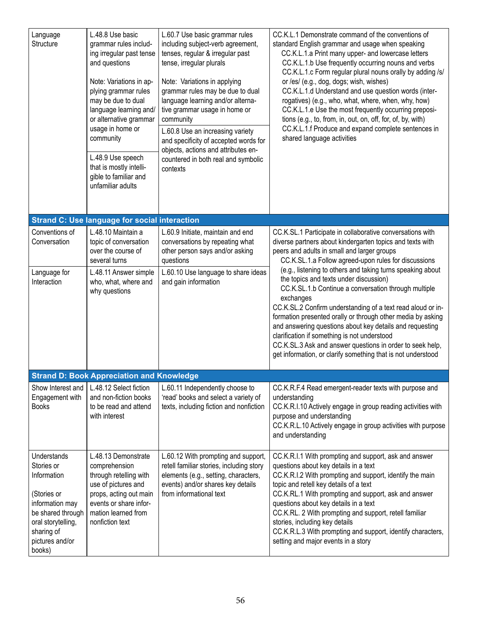| Language<br>Structure                                                                                                                                            | L.48.8 Use basic<br>grammar rules includ-<br>ing irregular past tense<br>and questions<br>Note: Variations in ap-<br>plying grammar rules<br>may be due to dual<br>language learning and/<br>or alternative grammar<br>usage in home or<br>community<br>L.48.9 Use speech<br>that is mostly intelli-<br>gible to familiar and<br>unfamiliar adults | L.60.7 Use basic grammar rules<br>including subject-verb agreement,<br>tenses, regular & irregular past<br>tense, irregular plurals<br>Note: Variations in applying<br>grammar rules may be due to dual<br>language learning and/or alterna-<br>tive grammar usage in home or<br>community<br>L.60.8 Use an increasing variety<br>and specificity of accepted words for<br>objects, actions and attributes en-<br>countered in both real and symbolic<br>contexts | CC.K.L.1 Demonstrate command of the conventions of<br>standard English grammar and usage when speaking<br>CC.K.L.1.a Print many upper- and lowercase letters<br>CC.K.L.1.b Use frequently occurring nouns and verbs<br>CC.K.L.1.c Form regular plural nouns orally by adding /s/<br>or /es/ (e.g., dog, dogs; wish, wishes)<br>CC.K.L.1.d Understand and use question words (inter-<br>rogatives) (e.g., who, what, where, when, why, how)<br>CC.K.L.1.e Use the most frequently occurring preposi-<br>tions (e.g., to, from, in, out, on, off, for, of, by, with)<br>CC.K.L.1.f Produce and expand complete sentences in<br>shared language activities |
|------------------------------------------------------------------------------------------------------------------------------------------------------------------|----------------------------------------------------------------------------------------------------------------------------------------------------------------------------------------------------------------------------------------------------------------------------------------------------------------------------------------------------|-------------------------------------------------------------------------------------------------------------------------------------------------------------------------------------------------------------------------------------------------------------------------------------------------------------------------------------------------------------------------------------------------------------------------------------------------------------------|---------------------------------------------------------------------------------------------------------------------------------------------------------------------------------------------------------------------------------------------------------------------------------------------------------------------------------------------------------------------------------------------------------------------------------------------------------------------------------------------------------------------------------------------------------------------------------------------------------------------------------------------------------|
|                                                                                                                                                                  | <b>Strand C: Use language for social interaction</b>                                                                                                                                                                                                                                                                                               |                                                                                                                                                                                                                                                                                                                                                                                                                                                                   |                                                                                                                                                                                                                                                                                                                                                                                                                                                                                                                                                                                                                                                         |
| Conventions of<br>Conversation                                                                                                                                   | L.48.10 Maintain a<br>topic of conversation<br>over the course of<br>several turns                                                                                                                                                                                                                                                                 | L.60.9 Initiate, maintain and end<br>conversations by repeating what<br>other person says and/or asking<br>questions                                                                                                                                                                                                                                                                                                                                              | CC.K.SL.1 Participate in collaborative conversations with<br>diverse partners about kindergarten topics and texts with<br>peers and adults in small and larger groups<br>CC.K.SL.1.a Follow agreed-upon rules for discussions                                                                                                                                                                                                                                                                                                                                                                                                                           |
| Language for<br>Interaction                                                                                                                                      | L.48.11 Answer simple<br>who, what, where and<br>why questions                                                                                                                                                                                                                                                                                     | L.60.10 Use language to share ideas<br>and gain information                                                                                                                                                                                                                                                                                                                                                                                                       | (e.g., listening to others and taking turns speaking about<br>the topics and texts under discussion)<br>CC.K.SL.1.b Continue a conversation through multiple<br>exchanges<br>CC.K.SL.2 Confirm understanding of a text read aloud or in-<br>formation presented orally or through other media by asking<br>and answering questions about key details and requesting<br>clarification if something is not understood<br>CC.K.SL.3 Ask and answer questions in order to seek help,<br>get information, or clarify something that is not understood                                                                                                        |
|                                                                                                                                                                  | <b>Strand D: Book Appreciation and Knowledge</b>                                                                                                                                                                                                                                                                                                   |                                                                                                                                                                                                                                                                                                                                                                                                                                                                   |                                                                                                                                                                                                                                                                                                                                                                                                                                                                                                                                                                                                                                                         |
| Show Interest and<br>Engagement with<br><b>Books</b>                                                                                                             | L.48.12 Select fiction<br>and non-fiction books<br>to be read and attend<br>with interest                                                                                                                                                                                                                                                          | L.60.11 Independently choose to<br>'read' books and select a variety of<br>texts, including fiction and nonfiction                                                                                                                                                                                                                                                                                                                                                | CC.K.R.F.4 Read emergent-reader texts with purpose and<br>understanding<br>CC.K.R.I.10 Actively engage in group reading activities with<br>purpose and understanding<br>CC.K.R.L.10 Actively engage in group activities with purpose<br>and understanding                                                                                                                                                                                                                                                                                                                                                                                               |
| Understands<br>Stories or<br>Information<br>(Stories or<br>information may<br>be shared through<br>oral storytelling,<br>sharing of<br>pictures and/or<br>books) | L.48.13 Demonstrate<br>comprehension<br>through retelling with<br>use of pictures and<br>props, acting out main<br>events or share infor-<br>mation learned from<br>nonfiction text                                                                                                                                                                | L.60.12 With prompting and support,<br>retell familiar stories, including story<br>elements (e.g., setting, characters,<br>events) and/or shares key details<br>from informational text                                                                                                                                                                                                                                                                           | CC.K.R.I.1 With prompting and support, ask and answer<br>questions about key details in a text<br>CC.K.R.I.2 With prompting and support, identify the main<br>topic and retell key details of a text<br>CC.K.RL.1 With prompting and support, ask and answer<br>questions about key details in a text<br>CC.K.RL. 2 With prompting and support, retell familiar<br>stories, including key details<br>CC.K.R.L.3 With prompting and support, identify characters,<br>setting and major events in a story                                                                                                                                                 |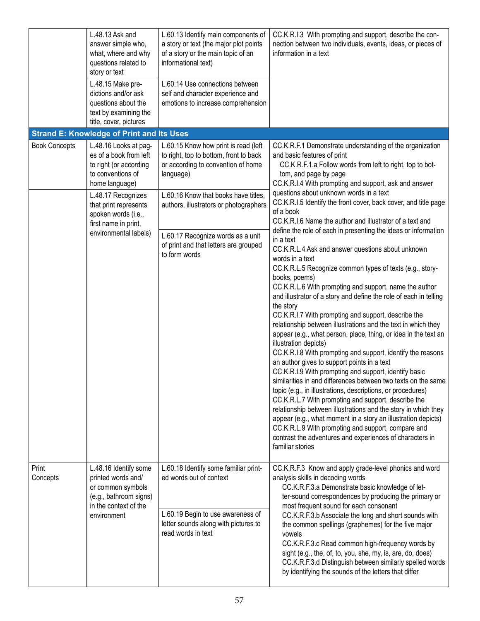|                      | L.48.13 Ask and<br>answer simple who,<br>what, where and why<br>questions related to<br>story or text<br>L.48.15 Make pre-<br>dictions and/or ask<br>questions about the<br>text by examining the<br>title, cover, pictures             | L.60.13 Identify main components of<br>a story or text (the major plot points<br>of a story or the main topic of an<br>informational text)<br>L.60.14 Use connections between<br>self and character experience and<br>emotions to increase comprehension                                                           | CC.K.R.I.3 With prompting and support, describe the con-<br>nection between two individuals, events, ideas, or pieces of<br>information in a text                                                                                                                                                                                                                                                                                                                                                                                                                                                                                                                                                                                                                                                                                                                                                                                                                                                                                                                                                                                                                                                                                                                                                                                        |
|----------------------|-----------------------------------------------------------------------------------------------------------------------------------------------------------------------------------------------------------------------------------------|--------------------------------------------------------------------------------------------------------------------------------------------------------------------------------------------------------------------------------------------------------------------------------------------------------------------|------------------------------------------------------------------------------------------------------------------------------------------------------------------------------------------------------------------------------------------------------------------------------------------------------------------------------------------------------------------------------------------------------------------------------------------------------------------------------------------------------------------------------------------------------------------------------------------------------------------------------------------------------------------------------------------------------------------------------------------------------------------------------------------------------------------------------------------------------------------------------------------------------------------------------------------------------------------------------------------------------------------------------------------------------------------------------------------------------------------------------------------------------------------------------------------------------------------------------------------------------------------------------------------------------------------------------------------|
|                      | <b>Strand E: Knowledge of Print and Its Uses</b>                                                                                                                                                                                        |                                                                                                                                                                                                                                                                                                                    |                                                                                                                                                                                                                                                                                                                                                                                                                                                                                                                                                                                                                                                                                                                                                                                                                                                                                                                                                                                                                                                                                                                                                                                                                                                                                                                                          |
| <b>Book Concepts</b> | L.48.16 Looks at pag-<br>es of a book from left<br>to right (or according<br>to conventions of<br>home language)<br>L.48.17 Recognizes<br>that print represents<br>spoken words (i.e.,<br>first name in print,<br>environmental labels) | L.60.15 Know how print is read (left<br>to right, top to bottom, front to back<br>or according to convention of home<br>language)<br>L.60.16 Know that books have titles,<br>authors, illustrators or photographers<br>L.60.17 Recognize words as a unit<br>of print and that letters are grouped<br>to form words | CC.K.R.F.1 Demonstrate understanding of the organization<br>and basic features of print<br>CC.K.R.F.1.a Follow words from left to right, top to bot-<br>tom, and page by page<br>CC.K.R.I.4 With prompting and support, ask and answer<br>questions about unknown words in a text<br>CC.K.R.I.5 Identify the front cover, back cover, and title page<br>of a book<br>CC.K.R.I.6 Name the author and illustrator of a text and<br>define the role of each in presenting the ideas or information<br>in a text<br>CC.K.R.L.4 Ask and answer questions about unknown<br>words in a text<br>CC.K.R.L.5 Recognize common types of texts (e.g., story-<br>books, poems)<br>CC.K.R.L.6 With prompting and support, name the author<br>and illustrator of a story and define the role of each in telling<br>the story<br>CC.K.R.I.7 With prompting and support, describe the<br>relationship between illustrations and the text in which they<br>appear (e.g., what person, place, thing, or idea in the text an<br>illustration depicts)<br>CC.K.R.I.8 With prompting and support, identify the reasons<br>an author gives to support points in a text<br>CC.K.R.I.9 With prompting and support, identify basic<br>similarities in and differences between two texts on the same<br>topic (e.g., in illustrations, descriptions, or procedures) |
| Print<br>Concepts    | L.48.16 Identify some<br>printed words and/<br>or common symbols<br>(e.g., bathroom signs)                                                                                                                                              | L.60.18 Identify some familiar print-<br>ed words out of context                                                                                                                                                                                                                                                   | CC.K.R.L.7 With prompting and support, describe the<br>relationship between illustrations and the story in which they<br>appear (e.g., what moment in a story an illustration depicts)<br>CC.K.R.L.9 With prompting and support, compare and<br>contrast the adventures and experiences of characters in<br>familiar stories<br>CC.K.R.F.3 Know and apply grade-level phonics and word<br>analysis skills in decoding words<br>CC.K.R.F.3.a Demonstrate basic knowledge of let-<br>ter-sound correspondences by producing the primary or                                                                                                                                                                                                                                                                                                                                                                                                                                                                                                                                                                                                                                                                                                                                                                                                 |
|                      | in the context of the<br>environment                                                                                                                                                                                                    | L.60.19 Begin to use awareness of<br>letter sounds along with pictures to<br>read words in text                                                                                                                                                                                                                    | most frequent sound for each consonant<br>CC.K.R.F.3.b Associate the long and short sounds with<br>the common spellings (graphemes) for the five major<br>vowels<br>CC.K.R.F.3.c Read common high-frequency words by<br>sight (e.g., the, of, to, you, she, my, is, are, do, does)<br>CC.K.R.F.3.d Distinguish between similarly spelled words<br>by identifying the sounds of the letters that differ                                                                                                                                                                                                                                                                                                                                                                                                                                                                                                                                                                                                                                                                                                                                                                                                                                                                                                                                   |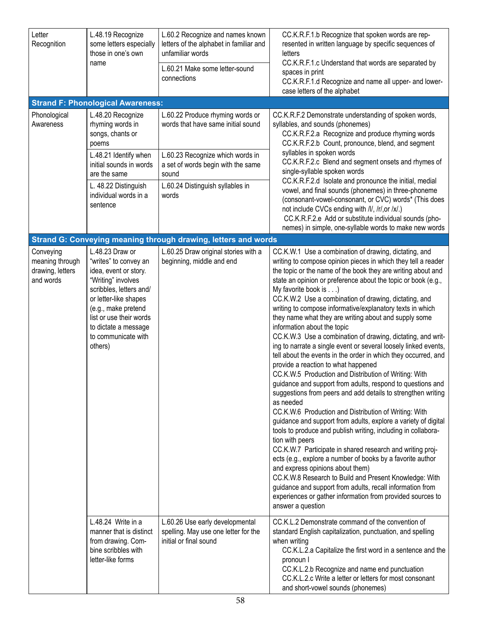| Letter<br>Recognition                                         | L.48.19 Recognize<br>some letters especially<br>those in one's own<br>name                                                                                                                                                                              | L.60.2 Recognize and names known<br>letters of the alphabet in familiar and<br>unfamiliar words<br>L.60.21 Make some letter-sound<br>connections                                                       | CC.K.R.F.1.b Recognize that spoken words are rep-<br>resented in written language by specific sequences of<br>letters<br>CC.K.R.F.1.c Understand that words are separated by<br>spaces in print<br>CC.K.R.F.1.d Recognize and name all upper- and lower-<br>case letters of the alphabet                                                                                                                                                                                                                                                                                                                                                                                                                                                                                                                                                                                                                                                                                                                                                                                                                                                                                                                                                                                                                                                                                                                                                                                                                                             |
|---------------------------------------------------------------|---------------------------------------------------------------------------------------------------------------------------------------------------------------------------------------------------------------------------------------------------------|--------------------------------------------------------------------------------------------------------------------------------------------------------------------------------------------------------|--------------------------------------------------------------------------------------------------------------------------------------------------------------------------------------------------------------------------------------------------------------------------------------------------------------------------------------------------------------------------------------------------------------------------------------------------------------------------------------------------------------------------------------------------------------------------------------------------------------------------------------------------------------------------------------------------------------------------------------------------------------------------------------------------------------------------------------------------------------------------------------------------------------------------------------------------------------------------------------------------------------------------------------------------------------------------------------------------------------------------------------------------------------------------------------------------------------------------------------------------------------------------------------------------------------------------------------------------------------------------------------------------------------------------------------------------------------------------------------------------------------------------------------|
|                                                               | <b>Strand F: Phonological Awareness:</b>                                                                                                                                                                                                                |                                                                                                                                                                                                        |                                                                                                                                                                                                                                                                                                                                                                                                                                                                                                                                                                                                                                                                                                                                                                                                                                                                                                                                                                                                                                                                                                                                                                                                                                                                                                                                                                                                                                                                                                                                      |
| Phonological<br>Awareness                                     | L.48.20 Recognize<br>rhyming words in<br>songs, chants or<br>poems<br>L.48.21 Identify when<br>initial sounds in words<br>are the same<br>L. 48.22 Distinguish<br>individual words in a<br>sentence                                                     | L.60.22 Produce rhyming words or<br>words that have same initial sound<br>L.60.23 Recognize which words in<br>a set of words begin with the same<br>sound<br>L.60.24 Distinguish syllables in<br>words | CC.K.R.F.2 Demonstrate understanding of spoken words,<br>syllables, and sounds (phonemes)<br>CC.K.R.F.2.a Recognize and produce rhyming words<br>CC.K.R.F.2.b Count, pronounce, blend, and segment<br>syllables in spoken words<br>CC.K.R.F.2.c Blend and segment onsets and rhymes of<br>single-syllable spoken words<br>CC.K.R.F.2.d Isolate and pronounce the initial, medial<br>vowel, and final sounds (phonemes) in three-phoneme<br>(consonant-vowel-consonant, or CVC) words* (This does<br>not include CVCs ending with /l/, /r/, or /x/.)<br>CC.K.R.F.2.e Add or substitute individual sounds (pho-<br>nemes) in simple, one-syllable words to make new words                                                                                                                                                                                                                                                                                                                                                                                                                                                                                                                                                                                                                                                                                                                                                                                                                                                              |
|                                                               |                                                                                                                                                                                                                                                         | Strand G: Conveying meaning through drawing, letters and words                                                                                                                                         |                                                                                                                                                                                                                                                                                                                                                                                                                                                                                                                                                                                                                                                                                                                                                                                                                                                                                                                                                                                                                                                                                                                                                                                                                                                                                                                                                                                                                                                                                                                                      |
| Conveying<br>meaning through<br>drawing, letters<br>and words | L.48.23 Draw or<br>"writes" to convey an<br>idea, event or story.<br>"Writing" involves<br>scribbles, letters and/<br>or letter-like shapes<br>(e.g., make pretend<br>list or use their words<br>to dictate a message<br>to communicate with<br>others) | L.60.25 Draw original stories with a<br>beginning, middle and end                                                                                                                                      | CC.K.W.1 Use a combination of drawing, dictating, and<br>writing to compose opinion pieces in which they tell a reader<br>the topic or the name of the book they are writing about and<br>state an opinion or preference about the topic or book (e.g.,<br>My favorite book is)<br>CC.K.W.2 Use a combination of drawing, dictating, and<br>writing to compose informative/explanatory texts in which<br>they name what they are writing about and supply some<br>information about the topic<br>CC.K.W.3 Use a combination of drawing, dictating, and writ-<br>ing to narrate a single event or several loosely linked events,<br>tell about the events in the order in which they occurred, and<br>provide a reaction to what happened<br>CC.K.W.5 Production and Distribution of Writing: With<br>guidance and support from adults, respond to questions and<br>suggestions from peers and add details to strengthen writing<br>as needed<br>CC.K.W.6 Production and Distribution of Writing: With<br>guidance and support from adults, explore a variety of digital<br>tools to produce and publish writing, including in collabora-<br>tion with peers<br>CC.K.W.7 Participate in shared research and writing proj-<br>ects (e.g., explore a number of books by a favorite author<br>and express opinions about them)<br>CC.K.W.8 Research to Build and Present Knowledge: With<br>guidance and support from adults, recall information from<br>experiences or gather information from provided sources to<br>answer a question |
|                                                               | L.48.24 Write in a<br>manner that is distinct<br>from drawing. Com-<br>bine scribbles with<br>letter-like forms                                                                                                                                         | L.60.26 Use early developmental<br>spelling. May use one letter for the<br>initial or final sound                                                                                                      | CC.K.L.2 Demonstrate command of the convention of<br>standard English capitalization, punctuation, and spelling<br>when writing<br>CC.K.L.2.a Capitalize the first word in a sentence and the<br>pronoun I<br>CC.K.L.2.b Recognize and name end punctuation<br>CC.K.L.2.c Write a letter or letters for most consonant<br>and short-vowel sounds (phonemes)                                                                                                                                                                                                                                                                                                                                                                                                                                                                                                                                                                                                                                                                                                                                                                                                                                                                                                                                                                                                                                                                                                                                                                          |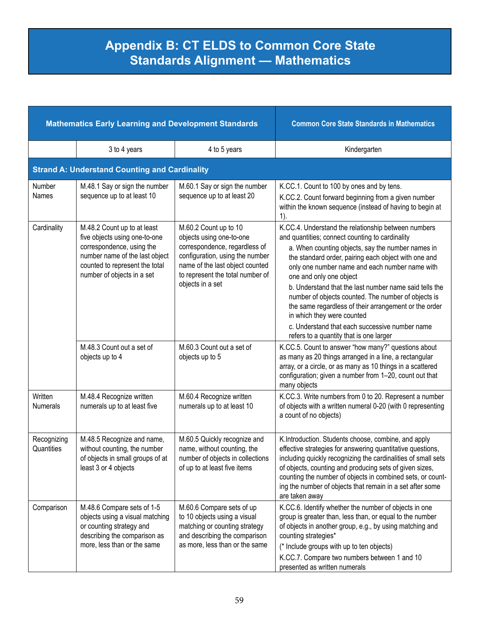## **Appendix B: CT ELDS to Common Core State Standards Alignment — Mathematics**

| <b>Mathematics Early Learning and Development Standards</b> |                                                                                                                                                                                             |                                                                                                                                                                                                                  | <b>Common Core State Standards in Mathematics</b>                                                                                                                                                                                                                                                                                                                                                                                                                                                                                                                                                     |
|-------------------------------------------------------------|---------------------------------------------------------------------------------------------------------------------------------------------------------------------------------------------|------------------------------------------------------------------------------------------------------------------------------------------------------------------------------------------------------------------|-------------------------------------------------------------------------------------------------------------------------------------------------------------------------------------------------------------------------------------------------------------------------------------------------------------------------------------------------------------------------------------------------------------------------------------------------------------------------------------------------------------------------------------------------------------------------------------------------------|
|                                                             | 3 to 4 years                                                                                                                                                                                | 4 to 5 years                                                                                                                                                                                                     | Kindergarten                                                                                                                                                                                                                                                                                                                                                                                                                                                                                                                                                                                          |
|                                                             | <b>Strand A: Understand Counting and Cardinality</b>                                                                                                                                        |                                                                                                                                                                                                                  |                                                                                                                                                                                                                                                                                                                                                                                                                                                                                                                                                                                                       |
| Number<br>Names                                             | M.48.1 Say or sign the number<br>sequence up to at least 10                                                                                                                                 | M.60.1 Say or sign the number<br>sequence up to at least 20                                                                                                                                                      | K.CC.1. Count to 100 by ones and by tens.<br>K.CC.2. Count forward beginning from a given number<br>within the known sequence (instead of having to begin at<br>1).                                                                                                                                                                                                                                                                                                                                                                                                                                   |
| Cardinality                                                 | M.48.2 Count up to at least<br>five objects using one-to-one<br>correspondence, using the<br>number name of the last object<br>counted to represent the total<br>number of objects in a set | M.60.2 Count up to 10<br>objects using one-to-one<br>correspondence, regardless of<br>configuration, using the number<br>name of the last object counted<br>to represent the total number of<br>objects in a set | K.CC.4. Understand the relationship between numbers<br>and quantities; connect counting to cardinality<br>a. When counting objects, say the number names in<br>the standard order, pairing each object with one and<br>only one number name and each number name with<br>one and only one object<br>b. Understand that the last number name said tells the<br>number of objects counted. The number of objects is<br>the same regardless of their arrangement or the order<br>in which they were counted<br>c. Understand that each successive number name<br>refers to a quantity that is one larger |
|                                                             | M.48.3 Count out a set of<br>objects up to 4                                                                                                                                                | M.60.3 Count out a set of<br>objects up to 5                                                                                                                                                                     | K.CC.5. Count to answer "how many?" questions about<br>as many as 20 things arranged in a line, a rectangular<br>array, or a circle, or as many as 10 things in a scattered<br>configuration; given a number from 1-20, count out that<br>many objects                                                                                                                                                                                                                                                                                                                                                |
| Written<br><b>Numerals</b>                                  | M.48.4 Recognize written<br>numerals up to at least five                                                                                                                                    | M.60.4 Recognize written<br>numerals up to at least 10                                                                                                                                                           | K.CC.3. Write numbers from 0 to 20. Represent a number<br>of objects with a written numeral 0-20 (with 0 representing<br>a count of no objects)                                                                                                                                                                                                                                                                                                                                                                                                                                                       |
| Recognizing<br>Quantities                                   | M.48.5 Recognize and name,<br>without counting, the number<br>of objects in small groups of at<br>least 3 or 4 objects                                                                      | M.60.5 Quickly recognize and<br>name, without counting, the<br>number of objects in collections<br>of up to at least five items                                                                                  | K.Introduction. Students choose, combine, and apply<br>effective strategies for answering quantitative questions,<br>including quickly recognizing the cardinalities of small sets<br>of objects, counting and producing sets of given sizes,<br>counting the number of objects in combined sets, or count-<br>ing the number of objects that remain in a set after some<br>are taken away                                                                                                                                                                                                            |
| Comparison                                                  | M.48.6 Compare sets of 1-5<br>objects using a visual matching<br>or counting strategy and<br>describing the comparison as<br>more, less than or the same                                    | M.60.6 Compare sets of up<br>to 10 objects using a visual<br>matching or counting strategy<br>and describing the comparison<br>as more, less than or the same                                                    | K.CC.6. Identify whether the number of objects in one<br>group is greater than, less than, or equal to the number<br>of objects in another group, e.g., by using matching and<br>counting strategies*<br>(* Include groups with up to ten objects)<br>K.CC.7. Compare two numbers between 1 and 10<br>presented as written numerals                                                                                                                                                                                                                                                                   |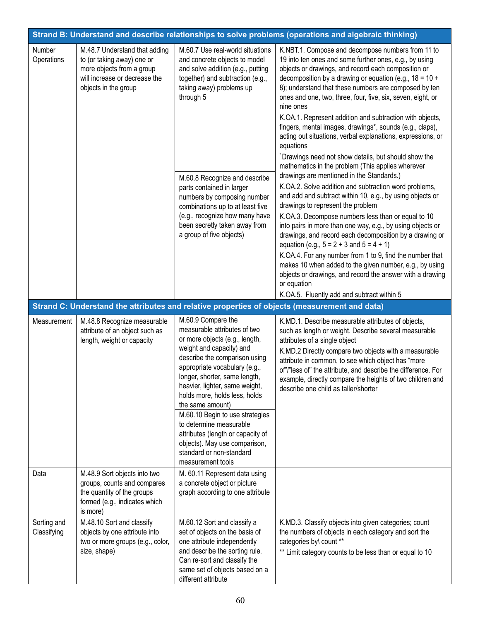| Strand B: Understand and describe relationships to solve problems (operations and algebraic thinking) |                                                                                                                                                   |                                                                                                                                                                                                                                                                                                                                                                                                                                                                                                 |                                                                                                                                                                                                                                                                                                                                                                                                                                                                                                                                                                                                                                                                                                                                                                                                                                                                                                                                                                                                                                                                                                                                                                                                                                                                                                                                                                                |  |
|-------------------------------------------------------------------------------------------------------|---------------------------------------------------------------------------------------------------------------------------------------------------|-------------------------------------------------------------------------------------------------------------------------------------------------------------------------------------------------------------------------------------------------------------------------------------------------------------------------------------------------------------------------------------------------------------------------------------------------------------------------------------------------|--------------------------------------------------------------------------------------------------------------------------------------------------------------------------------------------------------------------------------------------------------------------------------------------------------------------------------------------------------------------------------------------------------------------------------------------------------------------------------------------------------------------------------------------------------------------------------------------------------------------------------------------------------------------------------------------------------------------------------------------------------------------------------------------------------------------------------------------------------------------------------------------------------------------------------------------------------------------------------------------------------------------------------------------------------------------------------------------------------------------------------------------------------------------------------------------------------------------------------------------------------------------------------------------------------------------------------------------------------------------------------|--|
| Number<br>Operations                                                                                  | M.48.7 Understand that adding<br>to (or taking away) one or<br>more objects from a group<br>will increase or decrease the<br>objects in the group | M.60.7 Use real-world situations<br>and concrete objects to model<br>and solve addition (e.g., putting<br>together) and subtraction (e.g.,<br>taking away) problems up<br>through 5<br>M.60.8 Recognize and describe<br>parts contained in larger<br>numbers by composing number<br>combinations up to at least five<br>(e.g., recognize how many have<br>been secretly taken away from<br>a group of five objects)                                                                             | K.NBT.1. Compose and decompose numbers from 11 to<br>19 into ten ones and some further ones, e.g., by using<br>objects or drawings, and record each composition or<br>decomposition by a drawing or equation (e.g., $18 = 10 +$<br>8); understand that these numbers are composed by ten<br>ones and one, two, three, four, five, six, seven, eight, or<br>nine ones<br>K.OA.1. Represent addition and subtraction with objects,<br>fingers, mental images, drawings*, sounds (e.g., claps),<br>acting out situations, verbal explanations, expressions, or<br>equations<br>*Drawings need not show details, but should show the<br>mathematics in the problem (This applies wherever<br>drawings are mentioned in the Standards.)<br>K.OA.2. Solve addition and subtraction word problems,<br>and add and subtract within 10, e.g., by using objects or<br>drawings to represent the problem<br>K.OA.3. Decompose numbers less than or equal to 10<br>into pairs in more than one way, e.g., by using objects or<br>drawings, and record each decomposition by a drawing or<br>equation (e.g., $5 = 2 + 3$ and $5 = 4 + 1$ )<br>K.OA.4. For any number from 1 to 9, find the number that<br>makes 10 when added to the given number, e.g., by using<br>objects or drawings, and record the answer with a drawing<br>or equation<br>K.OA.5. Fluently add and subtract within 5 |  |
|                                                                                                       |                                                                                                                                                   |                                                                                                                                                                                                                                                                                                                                                                                                                                                                                                 | Strand C: Understand the attributes and relative properties of objects (measurement and data)                                                                                                                                                                                                                                                                                                                                                                                                                                                                                                                                                                                                                                                                                                                                                                                                                                                                                                                                                                                                                                                                                                                                                                                                                                                                                  |  |
| Measurement                                                                                           | M.48.8 Recognize measurable<br>attribute of an object such as<br>length, weight or capacity                                                       | M.60.9 Compare the<br>measurable attributes of two<br>or more objects (e.g., length,<br>weight and capacity) and<br>describe the comparison using<br>appropriate vocabulary (e.g.,<br>longer, shorter, same length,<br>heavier, lighter, same weight,<br>holds more, holds less, holds<br>the same amount)<br>M.60.10 Begin to use strategies<br>to determine measurable<br>attributes (length or capacity of<br>objects). May use comparison,<br>standard or non-standard<br>measurement tools | K.MD.1. Describe measurable attributes of objects,<br>such as length or weight. Describe several measurable<br>attributes of a single object<br>K.MD.2 Directly compare two objects with a measurable<br>attribute in common, to see which object has "more<br>of"/"less of" the attribute, and describe the difference. For<br>example, directly compare the heights of two children and<br>describe one child as taller/shorter                                                                                                                                                                                                                                                                                                                                                                                                                                                                                                                                                                                                                                                                                                                                                                                                                                                                                                                                              |  |
| Data                                                                                                  | M.48.9 Sort objects into two<br>groups, counts and compares<br>the quantity of the groups<br>formed (e.g., indicates which<br>is more)            | M. 60.11 Represent data using<br>a concrete object or picture<br>graph according to one attribute                                                                                                                                                                                                                                                                                                                                                                                               |                                                                                                                                                                                                                                                                                                                                                                                                                                                                                                                                                                                                                                                                                                                                                                                                                                                                                                                                                                                                                                                                                                                                                                                                                                                                                                                                                                                |  |
| Sorting and<br>Classifying                                                                            | M.48.10 Sort and classify<br>objects by one attribute into<br>two or more groups (e.g., color,<br>size, shape)                                    | M.60.12 Sort and classify a<br>set of objects on the basis of<br>one attribute independently<br>and describe the sorting rule.<br>Can re-sort and classify the<br>same set of objects based on a<br>different attribute                                                                                                                                                                                                                                                                         | K.MD.3. Classify objects into given categories; count<br>the numbers of objects in each category and sort the<br>categories by\ count **<br>** Limit category counts to be less than or equal to 10                                                                                                                                                                                                                                                                                                                                                                                                                                                                                                                                                                                                                                                                                                                                                                                                                                                                                                                                                                                                                                                                                                                                                                            |  |